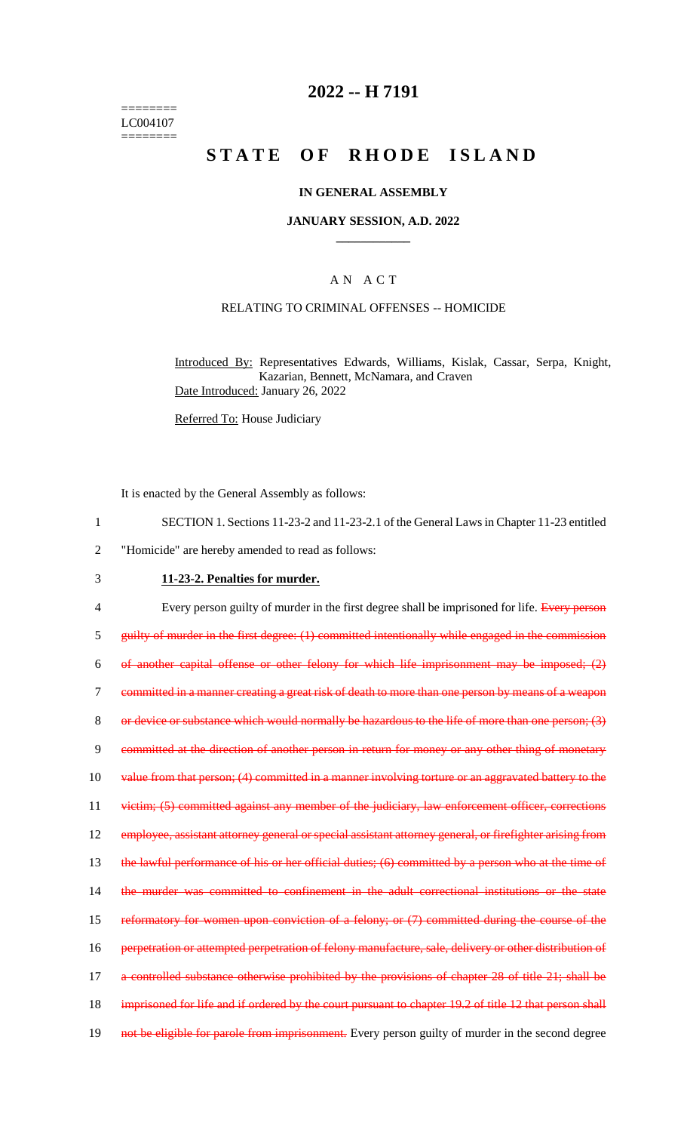======== LC004107 ========

## **2022 -- H 7191**

# **STATE OF RHODE ISLAND**

#### **IN GENERAL ASSEMBLY**

#### **JANUARY SESSION, A.D. 2022 \_\_\_\_\_\_\_\_\_\_\_\_**

#### A N A C T

#### RELATING TO CRIMINAL OFFENSES -- HOMICIDE

Introduced By: Representatives Edwards, Williams, Kislak, Cassar, Serpa, Knight, Kazarian, Bennett, McNamara, and Craven Date Introduced: January 26, 2022

Referred To: House Judiciary

It is enacted by the General Assembly as follows:

- 1 SECTION 1. Sections 11-23-2 and 11-23-2.1 of the General Laws in Chapter 11-23 entitled
- 2 "Homicide" are hereby amended to read as follows:

## 3 **11-23-2. Penalties for murder.**

4 Every person guilty of murder in the first degree shall be imprisoned for life. Every person 5 guilty of murder in the first degree: (1) committed intentionally while engaged in the commission 6 of another capital offense or other felony for which life imprisonment may be imposed; (2) 7 committed in a manner creating a great risk of death to more than one person by means of a weapon 8 or device or substance which would normally be hazardous to the life of more than one person; (3) 9 committed at the direction of another person in return for money or any other thing of monetary 10 value from that person; (4) committed in a manner involving torture or an aggravated battery to the 11 victim; (5) committed against any member of the judiciary, law enforcement officer, corrections 12 employee, assistant attorney general or special assistant attorney general, or firefighter arising from 13 the lawful performance of his or her official duties; (6) committed by a person who at the time of 14 the murder was committed to confinement in the adult correctional institutions or the state 15 reformatory for women upon conviction of a felony; or (7) committed during the course of the 16 perpetration or attempted perpetration of felony manufacture, sale, delivery or other distribution of 17 a controlled substance otherwise prohibited by the provisions of chapter 28 of title 21; shall be 18 imprisoned for life and if ordered by the court pursuant to chapter 19.2 of title 12 that person shall 19 not be eligible for parole from imprisonment. Every person guilty of murder in the second degree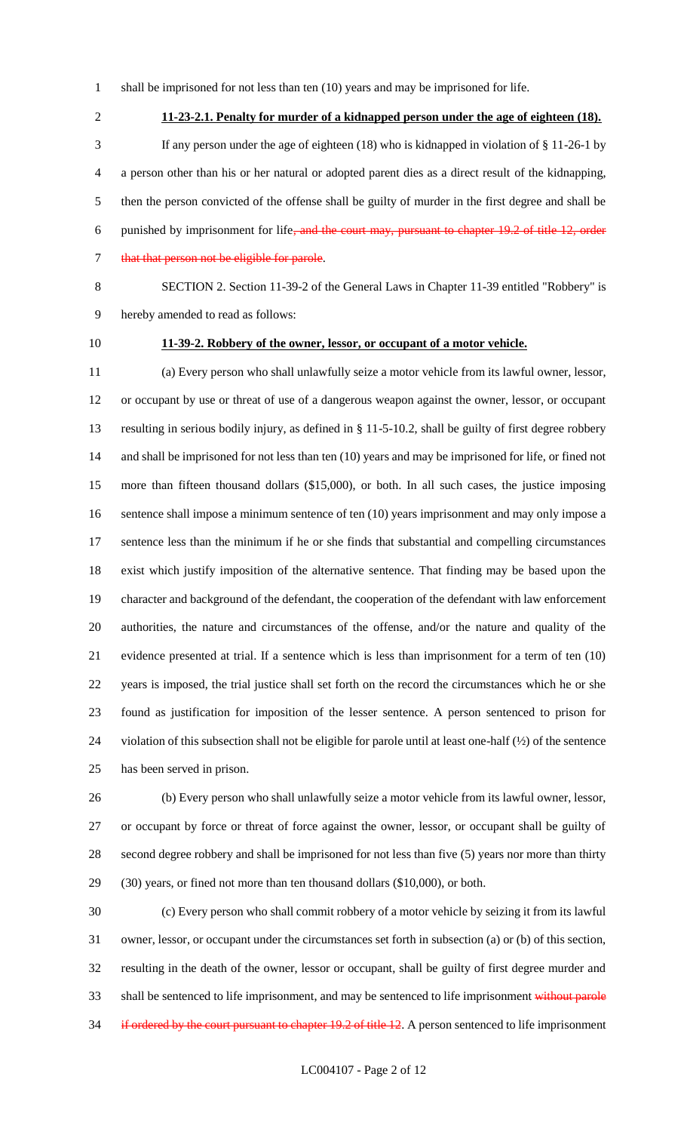- shall be imprisoned for not less than ten (10) years and may be imprisoned for life.
- 

**11-23-2.1. Penalty for murder of a kidnapped person under the age of eighteen (18).**

- If any person under the age of eighteen (18) who is kidnapped in violation of § 11-26-1 by a person other than his or her natural or adopted parent dies as a direct result of the kidnapping, then the person convicted of the offense shall be guilty of murder in the first degree and shall be 6 punished by imprisonment for life<del>, and the court may, pursuant to chapter 19.2 of title 12, order</del> 7 that that person not be eligible for parole.
- 

 SECTION 2. Section 11-39-2 of the General Laws in Chapter 11-39 entitled "Robbery" is hereby amended to read as follows:

## **11-39-2. Robbery of the owner, lessor, or occupant of a motor vehicle.**

 (a) Every person who shall unlawfully seize a motor vehicle from its lawful owner, lessor, or occupant by use or threat of use of a dangerous weapon against the owner, lessor, or occupant resulting in serious bodily injury, as defined in § 11-5-10.2, shall be guilty of first degree robbery and shall be imprisoned for not less than ten (10) years and may be imprisoned for life, or fined not more than fifteen thousand dollars (\$15,000), or both. In all such cases, the justice imposing sentence shall impose a minimum sentence of ten (10) years imprisonment and may only impose a 17 sentence less than the minimum if he or she finds that substantial and compelling circumstances exist which justify imposition of the alternative sentence. That finding may be based upon the character and background of the defendant, the cooperation of the defendant with law enforcement authorities, the nature and circumstances of the offense, and/or the nature and quality of the evidence presented at trial. If a sentence which is less than imprisonment for a term of ten (10) years is imposed, the trial justice shall set forth on the record the circumstances which he or she found as justification for imposition of the lesser sentence. A person sentenced to prison for violation of this subsection shall not be eligible for parole until at least one-half (½) of the sentence has been served in prison.

 (b) Every person who shall unlawfully seize a motor vehicle from its lawful owner, lessor, or occupant by force or threat of force against the owner, lessor, or occupant shall be guilty of second degree robbery and shall be imprisoned for not less than five (5) years nor more than thirty (30) years, or fined not more than ten thousand dollars (\$10,000), or both.

 (c) Every person who shall commit robbery of a motor vehicle by seizing it from its lawful owner, lessor, or occupant under the circumstances set forth in subsection (a) or (b) of this section, resulting in the death of the owner, lessor or occupant, shall be guilty of first degree murder and 33 shall be sentenced to life imprisonment, and may be sentenced to life imprisonment without parole 34 if ordered by the court pursuant to chapter 19.2 of title 12. A person sentenced to life imprisonment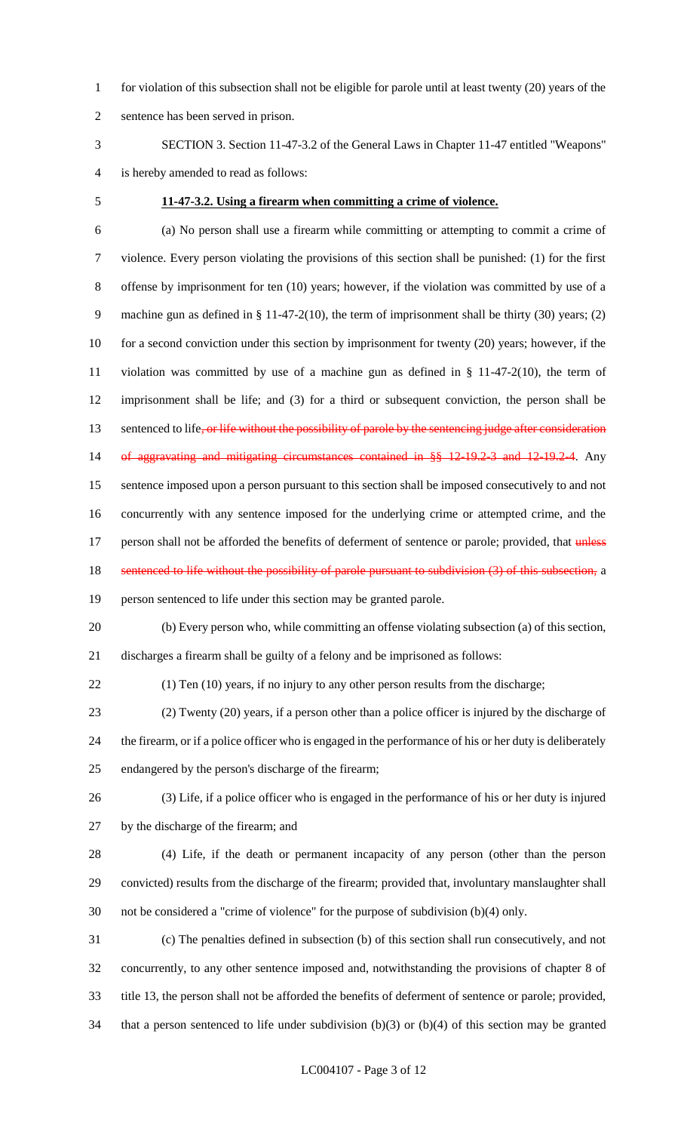- for violation of this subsection shall not be eligible for parole until at least twenty (20) years of the
- sentence has been served in prison.
- SECTION 3. Section 11-47-3.2 of the General Laws in Chapter 11-47 entitled "Weapons" is hereby amended to read as follows:
- 

#### **11-47-3.2. Using a firearm when committing a crime of violence.**

- (a) No person shall use a firearm while committing or attempting to commit a crime of violence. Every person violating the provisions of this section shall be punished: (1) for the first offense by imprisonment for ten (10) years; however, if the violation was committed by use of a machine gun as defined in § 11-47-2(10), the term of imprisonment shall be thirty (30) years; (2) 10 for a second conviction under this section by imprisonment for twenty (20) years; however, if the violation was committed by use of a machine gun as defined in § 11-47-2(10), the term of imprisonment shall be life; and (3) for a third or subsequent conviction, the person shall be 13 sentenced to life, or life without the possibility of parole by the sentencing judge after consideration of aggravating and mitigating circumstances contained in §§ 12-19.2-3 and 12-19.2-4. Any sentence imposed upon a person pursuant to this section shall be imposed consecutively to and not concurrently with any sentence imposed for the underlying crime or attempted crime, and the 17 person shall not be afforded the benefits of deferment of sentence or parole; provided, that *unless* 18 sentenced to life without the possibility of parole pursuant to subdivision (3) of this subsection, a person sentenced to life under this section may be granted parole. (b) Every person who, while committing an offense violating subsection (a) of this section, discharges a firearm shall be guilty of a felony and be imprisoned as follows: (1) Ten (10) years, if no injury to any other person results from the discharge; (2) Twenty (20) years, if a person other than a police officer is injured by the discharge of the firearm, or if a police officer who is engaged in the performance of his or her duty is deliberately endangered by the person's discharge of the firearm; (3) Life, if a police officer who is engaged in the performance of his or her duty is injured by the discharge of the firearm; and (4) Life, if the death or permanent incapacity of any person (other than the person convicted) results from the discharge of the firearm; provided that, involuntary manslaughter shall not be considered a "crime of violence" for the purpose of subdivision (b)(4) only. (c) The penalties defined in subsection (b) of this section shall run consecutively, and not concurrently, to any other sentence imposed and, notwithstanding the provisions of chapter 8 of
- title 13, the person shall not be afforded the benefits of deferment of sentence or parole; provided,
- that a person sentenced to life under subdivision (b)(3) or (b)(4) of this section may be granted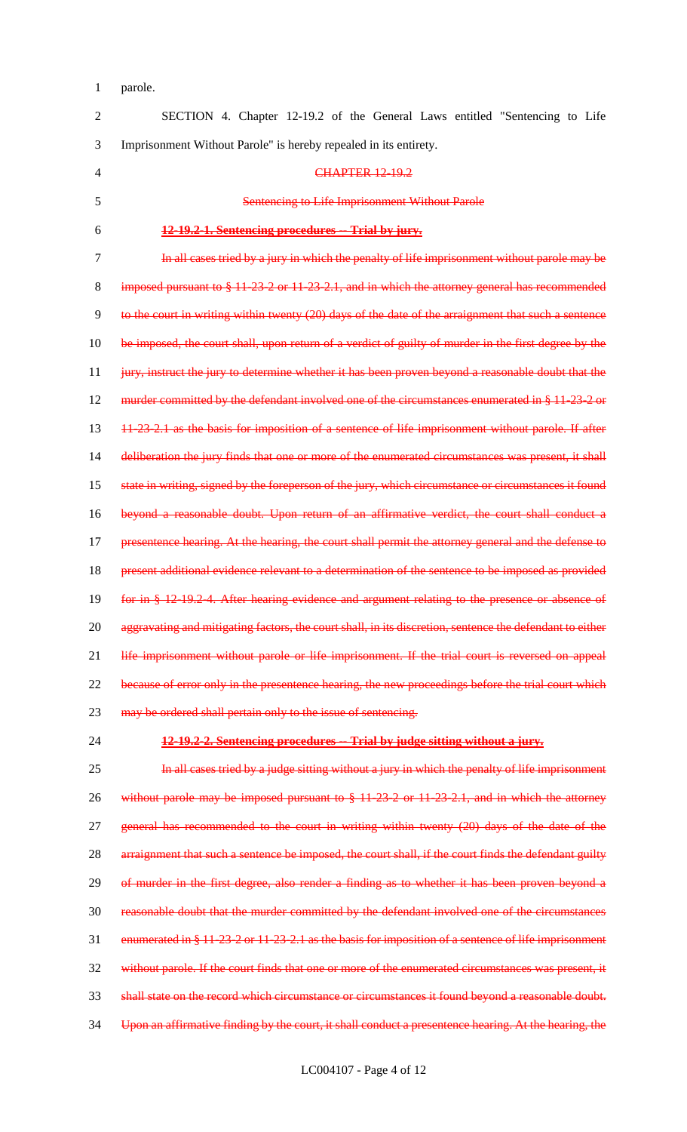1 parole.

2 SECTION 4. Chapter 12-19.2 of the General Laws entitled "Sentencing to Life 3 Imprisonment Without Parole" is hereby repealed in its entirety. 4 CHAPTER 12-19.2 5 Sentencing to Life Imprisonment Without Parole 6 **12-19.2-1. Sentencing procedures -- Trial by jury.** 7 In all cases tried by a jury in which the penalty of life imprisonment without parole may be 8 imposed pursuant to § 11-23-2 or 11-23-2.1, and in which the attorney general has recommended 9 to the court in writing within twenty (20) days of the date of the arraignment that such a sentence 10 be imposed, the court shall, upon return of a verdict of guilty of murder in the first degree by the 11 jury, instruct the jury to determine whether it has been proven beyond a reasonable doubt that the 12 murder committed by the defendant involved one of the circumstances enumerated in § 11-23-2 or 13 11-23-2.1 as the basis for imposition of a sentence of life imprisonment without parole. If after 14 deliberation the jury finds that one or more of the enumerated circumstances was present, it shall 15 state in writing, signed by the foreperson of the jury, which circumstance or circumstances it found 16 beyond a reasonable doubt. Upon return of an affirmative verdict, the court shall conduct a 17 presentence hearing. At the hearing, the court shall permit the attorney general and the defense to 18 present additional evidence relevant to a determination of the sentence to be imposed as provided 19 for in § 12-19.2-4. After hearing evidence and argument relating to the presence or absence of 20 aggravating and mitigating factors, the court shall, in its discretion, sentence the defendant to either 21 life imprisonment without parole or life imprisonment. If the trial court is reversed on appeal 22 because of error only in the presentence hearing, the new proceedings before the trial court which 23 may be ordered shall pertain only to the issue of sentencing. 24 **12-19.2-2. Sentencing procedures -- Trial by judge sitting without a jury.**

25 **In all cases tried by a judge sitting without a jury in which the penalty of life imprisonment** 26 without parole may be imposed pursuant to § 11-23-2 or 11-23-2.1, and in which the attorney 27 general has recommended to the court in writing within twenty (20) days of the date of the 28 arraignment that such a sentence be imposed, the court shall, if the court finds the defendant guilty 29 of murder in the first degree, also render a finding as to whether it has been proven beyond a 30 reasonable doubt that the murder committed by the defendant involved one of the circumstances 31 enumerated in § 11-23-2 or 11-23-2.1 as the basis for imposition of a sentence of life imprisonment 32 without parole. If the court finds that one or more of the enumerated circumstances was present, it 33 shall state on the record which circumstance or circumstances it found beyond a reasonable doubt. 34 Upon an affirmative finding by the court, it shall conduct a presentence hearing. At the hearing, the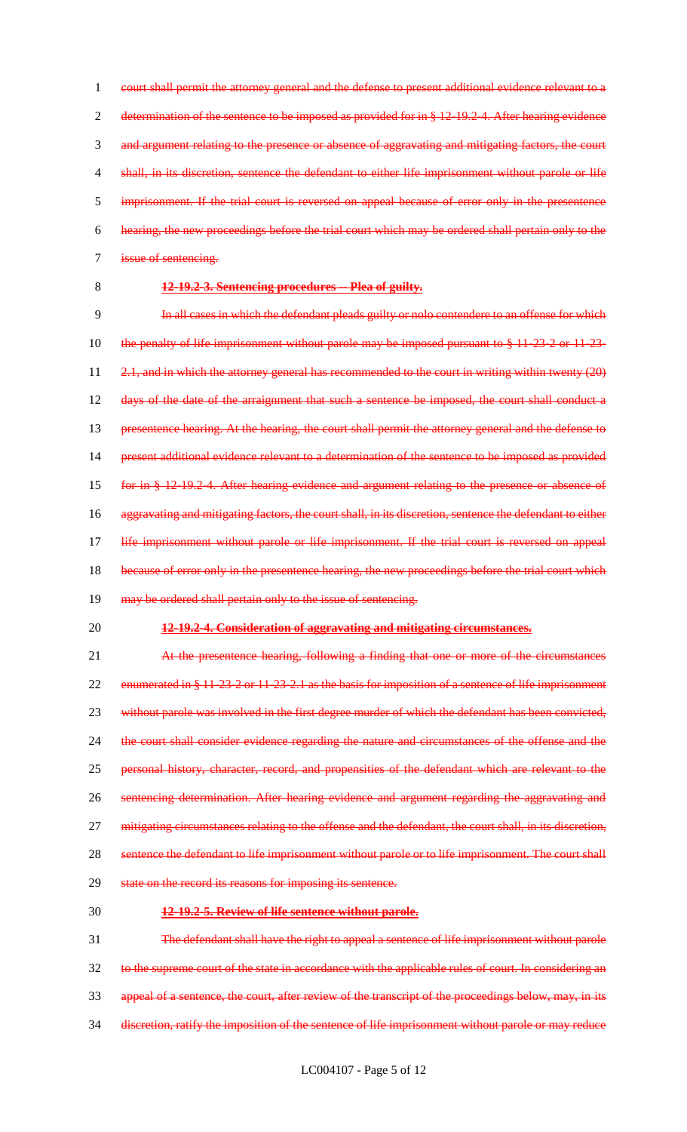1 court shall permit the attorney general and the defense to present additional evidence relevant to a 2 determination of the sentence to be imposed as provided for in § 12-19.2-4. After hearing evidence and argument relating to the presence or absence of aggravating and mitigating factors, the court shall, in its discretion, sentence the defendant to either life imprisonment without parole or life imprisonment. If the trial court is reversed on appeal because of error only in the presentence hearing, the new proceedings before the trial court which may be ordered shall pertain only to the issue of sentencing.

#### 8 **12-19.2-3. Sentencing procedures -- Plea of guilty.**

9 In all cases in which the defendant pleads guilty or nolo contendere to an offense for which 10 the penalty of life imprisonment without parole may be imposed pursuant to § 11-23-2 or 11-23-11 2.1, and in which the attorney general has recommended to the court in writing within twenty (20) 12 days of the date of the arraignment that such a sentence be imposed, the court shall conduct a 13 presentence hearing. At the hearing, the court shall permit the attorney general and the defense to 14 present additional evidence relevant to a determination of the sentence to be imposed as provided 15 for in § 12-19.2-4. After hearing evidence and argument relating to the presence or absence of 16 aggravating and mitigating factors, the court shall, in its discretion, sentence the defendant to either 17 life imprisonment without parole or life imprisonment. If the trial court is reversed on appeal 18 because of error only in the presentence hearing, the new proceedings before the trial court which 19 may be ordered shall pertain only to the issue of sentencing.

#### 20 **12-19.2-4. Consideration of aggravating and mitigating circumstances.**

21 At the presentence hearing, following a finding that one or more of the circumstances 22 enumerated in § 11-23-2 or 11-23-2.1 as the basis for imposition of a sentence of life imprisonment 23 without parole was involved in the first degree murder of which the defendant has been convicted, 24 the court shall consider evidence regarding the nature and circumstances of the offense and the 25 personal history, character, record, and propensities of the defendant which are relevant to the 26 sentencing determination. After hearing evidence and argument regarding the aggravating and 27 mitigating circumstances relating to the offense and the defendant, the court shall, in its discretion, 28 sentence the defendant to life imprisonment without parole or to life imprisonment. The court shall 29 state on the record its reasons for imposing its sentence.

#### 30 **12-19.2-5. Review of life sentence without parole.**

31 The defendant shall have the right to appeal a sentence of life imprisonment without parole 32 to the supreme court of the state in accordance with the applicable rules of court. In considering an 33 appeal of a sentence, the court, after review of the transcript of the proceedings below, may, in its 34 discretion, ratify the imposition of the sentence of life imprisonment without parole or may reduce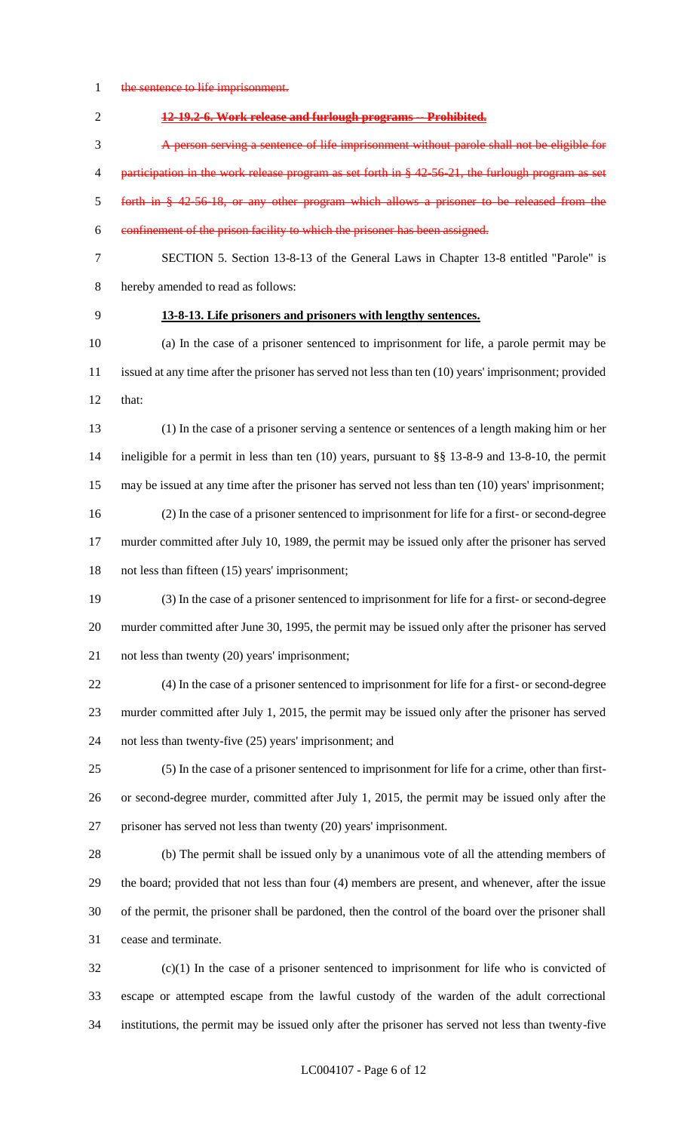1 the sentence to life imprisonment.

**12-19.2-6. Work release and furlough programs -- Prohibited.**

 A person serving a sentence of life imprisonment without parole shall not be eligible for 4 participation in the work release program as set forth in § 42-56-21, the furlough program as set forth in § 42-56-18, or any other program which allows a prisoner to be released from the confinement of the prison facility to which the prisoner has been assigned.

 SECTION 5. Section 13-8-13 of the General Laws in Chapter 13-8 entitled "Parole" is hereby amended to read as follows:

#### **13-8-13. Life prisoners and prisoners with lengthy sentences.**

 (a) In the case of a prisoner sentenced to imprisonment for life, a parole permit may be issued at any time after the prisoner has served not less than ten (10) years' imprisonment; provided that:

 (1) In the case of a prisoner serving a sentence or sentences of a length making him or her ineligible for a permit in less than ten (10) years, pursuant to §§ 13-8-9 and 13-8-10, the permit may be issued at any time after the prisoner has served not less than ten (10) years' imprisonment; (2) In the case of a prisoner sentenced to imprisonment for life for a first- or second-degree murder committed after July 10, 1989, the permit may be issued only after the prisoner has served

not less than fifteen (15) years' imprisonment;

 (3) In the case of a prisoner sentenced to imprisonment for life for a first- or second-degree murder committed after June 30, 1995, the permit may be issued only after the prisoner has served not less than twenty (20) years' imprisonment;

 (4) In the case of a prisoner sentenced to imprisonment for life for a first- or second-degree murder committed after July 1, 2015, the permit may be issued only after the prisoner has served not less than twenty-five (25) years' imprisonment; and

 (5) In the case of a prisoner sentenced to imprisonment for life for a crime, other than first- or second-degree murder, committed after July 1, 2015, the permit may be issued only after the prisoner has served not less than twenty (20) years' imprisonment.

 (b) The permit shall be issued only by a unanimous vote of all the attending members of the board; provided that not less than four (4) members are present, and whenever, after the issue of the permit, the prisoner shall be pardoned, then the control of the board over the prisoner shall cease and terminate.

 (c)(1) In the case of a prisoner sentenced to imprisonment for life who is convicted of escape or attempted escape from the lawful custody of the warden of the adult correctional institutions, the permit may be issued only after the prisoner has served not less than twenty-five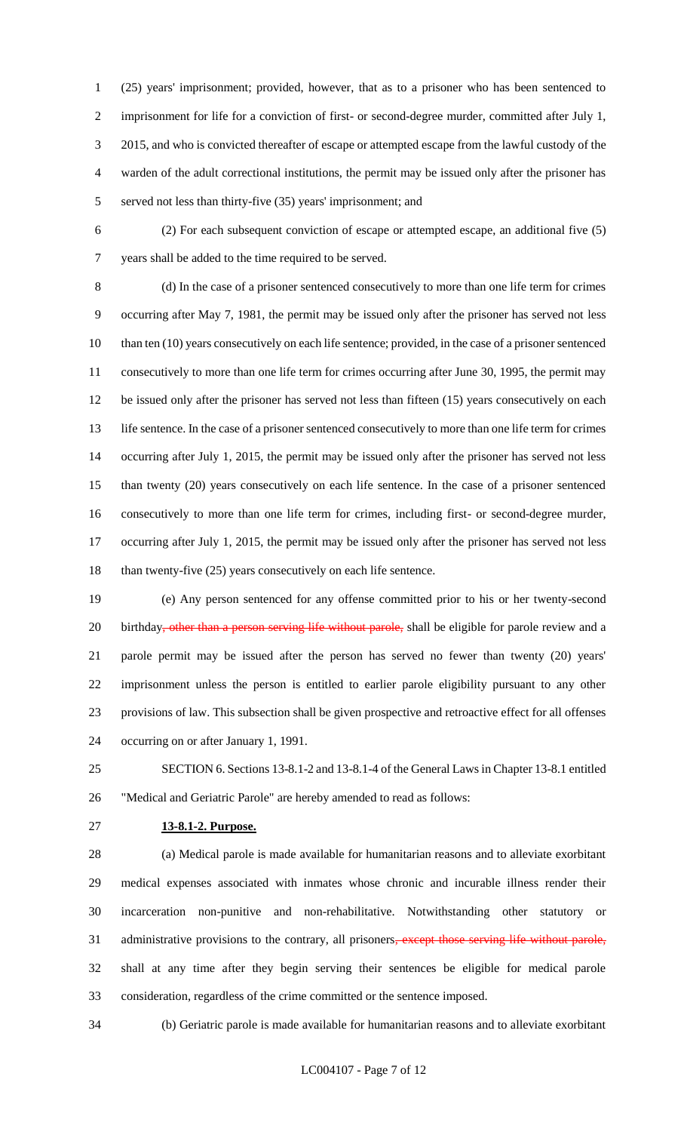(25) years' imprisonment; provided, however, that as to a prisoner who has been sentenced to imprisonment for life for a conviction of first- or second-degree murder, committed after July 1, 2015, and who is convicted thereafter of escape or attempted escape from the lawful custody of the warden of the adult correctional institutions, the permit may be issued only after the prisoner has served not less than thirty-five (35) years' imprisonment; and

 (2) For each subsequent conviction of escape or attempted escape, an additional five (5) years shall be added to the time required to be served.

 (d) In the case of a prisoner sentenced consecutively to more than one life term for crimes occurring after May 7, 1981, the permit may be issued only after the prisoner has served not less 10 than ten (10) years consecutively on each life sentence; provided, in the case of a prisoner sentenced consecutively to more than one life term for crimes occurring after June 30, 1995, the permit may be issued only after the prisoner has served not less than fifteen (15) years consecutively on each life sentence. In the case of a prisoner sentenced consecutively to more than one life term for crimes occurring after July 1, 2015, the permit may be issued only after the prisoner has served not less than twenty (20) years consecutively on each life sentence. In the case of a prisoner sentenced consecutively to more than one life term for crimes, including first- or second-degree murder, occurring after July 1, 2015, the permit may be issued only after the prisoner has served not less 18 than twenty-five (25) years consecutively on each life sentence.

 (e) Any person sentenced for any offense committed prior to his or her twenty-second 20 birthday, other than a person serving life without parole, shall be eligible for parole review and a parole permit may be issued after the person has served no fewer than twenty (20) years' imprisonment unless the person is entitled to earlier parole eligibility pursuant to any other provisions of law. This subsection shall be given prospective and retroactive effect for all offenses occurring on or after January 1, 1991.

 SECTION 6. Sections 13-8.1-2 and 13-8.1-4 of the General Laws in Chapter 13-8.1 entitled "Medical and Geriatric Parole" are hereby amended to read as follows:

#### **13-8.1-2. Purpose.**

 (a) Medical parole is made available for humanitarian reasons and to alleviate exorbitant medical expenses associated with inmates whose chronic and incurable illness render their incarceration non-punitive and non-rehabilitative. Notwithstanding other statutory or 31 administrative provisions to the contrary, all prisoners, except those serving life without parole, shall at any time after they begin serving their sentences be eligible for medical parole consideration, regardless of the crime committed or the sentence imposed.

(b) Geriatric parole is made available for humanitarian reasons and to alleviate exorbitant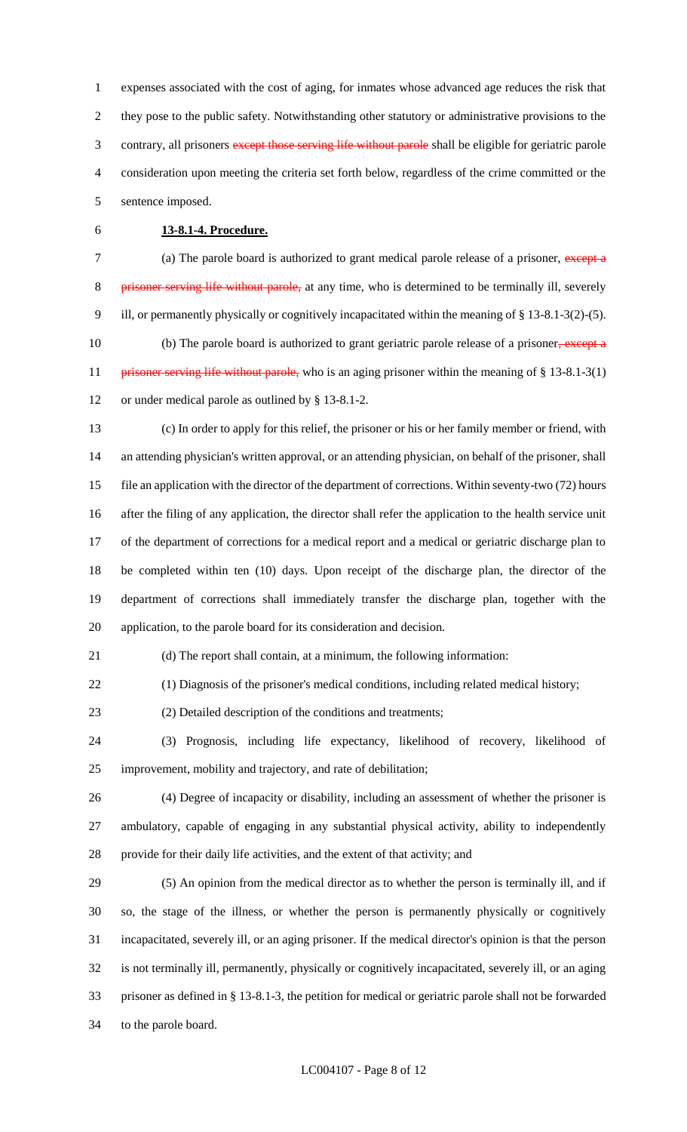expenses associated with the cost of aging, for inmates whose advanced age reduces the risk that they pose to the public safety. Notwithstanding other statutory or administrative provisions to the 3 contrary, all prisoners except those serving life without parole shall be eligible for geriatric parole consideration upon meeting the criteria set forth below, regardless of the crime committed or the sentence imposed.

## **13-8.1-4. Procedure.**

7 (a) The parole board is authorized to grant medical parole release of a prisoner, except a 8 prisoner serving life without parole, at any time, who is determined to be terminally ill, severely ill, or permanently physically or cognitively incapacitated within the meaning of § 13-8.1-3(2)-(5). 10 (b) The parole board is authorized to grant geriatric parole release of a prisoner, except a 11 prisoner serving life without parole, who is an aging prisoner within the meaning of § 13-8.1-3(1) or under medical parole as outlined by § 13-8.1-2.

 (c) In order to apply for this relief, the prisoner or his or her family member or friend, with an attending physician's written approval, or an attending physician, on behalf of the prisoner, shall file an application with the director of the department of corrections. Within seventy-two (72) hours after the filing of any application, the director shall refer the application to the health service unit of the department of corrections for a medical report and a medical or geriatric discharge plan to be completed within ten (10) days. Upon receipt of the discharge plan, the director of the department of corrections shall immediately transfer the discharge plan, together with the application, to the parole board for its consideration and decision.

(d) The report shall contain, at a minimum, the following information:

(1) Diagnosis of the prisoner's medical conditions, including related medical history;

(2) Detailed description of the conditions and treatments;

 (3) Prognosis, including life expectancy, likelihood of recovery, likelihood of improvement, mobility and trajectory, and rate of debilitation;

 (4) Degree of incapacity or disability, including an assessment of whether the prisoner is ambulatory, capable of engaging in any substantial physical activity, ability to independently provide for their daily life activities, and the extent of that activity; and

 (5) An opinion from the medical director as to whether the person is terminally ill, and if so, the stage of the illness, or whether the person is permanently physically or cognitively incapacitated, severely ill, or an aging prisoner. If the medical director's opinion is that the person is not terminally ill, permanently, physically or cognitively incapacitated, severely ill, or an aging prisoner as defined in § 13-8.1-3, the petition for medical or geriatric parole shall not be forwarded to the parole board.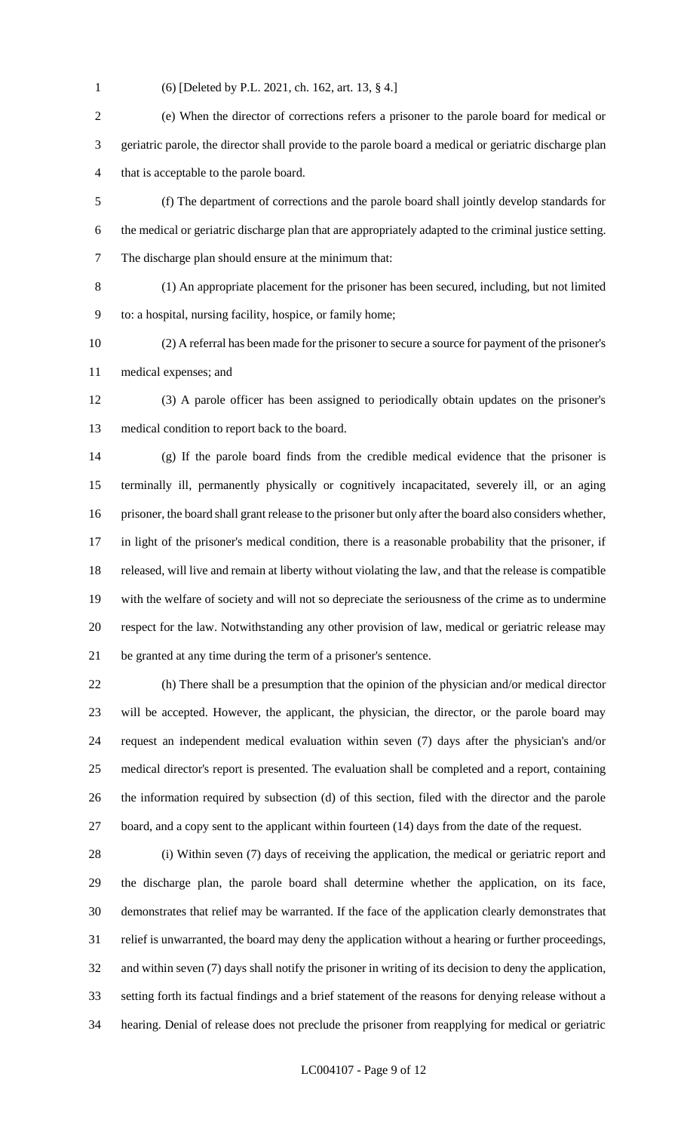(6) [Deleted by P.L. 2021, ch. 162, art. 13, § 4.]

 (e) When the director of corrections refers a prisoner to the parole board for medical or geriatric parole, the director shall provide to the parole board a medical or geriatric discharge plan that is acceptable to the parole board.

- (f) The department of corrections and the parole board shall jointly develop standards for the medical or geriatric discharge plan that are appropriately adapted to the criminal justice setting. The discharge plan should ensure at the minimum that:
- (1) An appropriate placement for the prisoner has been secured, including, but not limited

to: a hospital, nursing facility, hospice, or family home;

 (2) A referral has been made for the prisoner to secure a source for payment of the prisoner's medical expenses; and

 (3) A parole officer has been assigned to periodically obtain updates on the prisoner's medical condition to report back to the board.

 (g) If the parole board finds from the credible medical evidence that the prisoner is terminally ill, permanently physically or cognitively incapacitated, severely ill, or an aging prisoner, the board shall grant release to the prisoner but only after the board also considers whether, in light of the prisoner's medical condition, there is a reasonable probability that the prisoner, if released, will live and remain at liberty without violating the law, and that the release is compatible with the welfare of society and will not so depreciate the seriousness of the crime as to undermine respect for the law. Notwithstanding any other provision of law, medical or geriatric release may be granted at any time during the term of a prisoner's sentence.

 (h) There shall be a presumption that the opinion of the physician and/or medical director will be accepted. However, the applicant, the physician, the director, or the parole board may request an independent medical evaluation within seven (7) days after the physician's and/or medical director's report is presented. The evaluation shall be completed and a report, containing the information required by subsection (d) of this section, filed with the director and the parole board, and a copy sent to the applicant within fourteen (14) days from the date of the request.

 (i) Within seven (7) days of receiving the application, the medical or geriatric report and the discharge plan, the parole board shall determine whether the application, on its face, demonstrates that relief may be warranted. If the face of the application clearly demonstrates that relief is unwarranted, the board may deny the application without a hearing or further proceedings, and within seven (7) days shall notify the prisoner in writing of its decision to deny the application, setting forth its factual findings and a brief statement of the reasons for denying release without a hearing. Denial of release does not preclude the prisoner from reapplying for medical or geriatric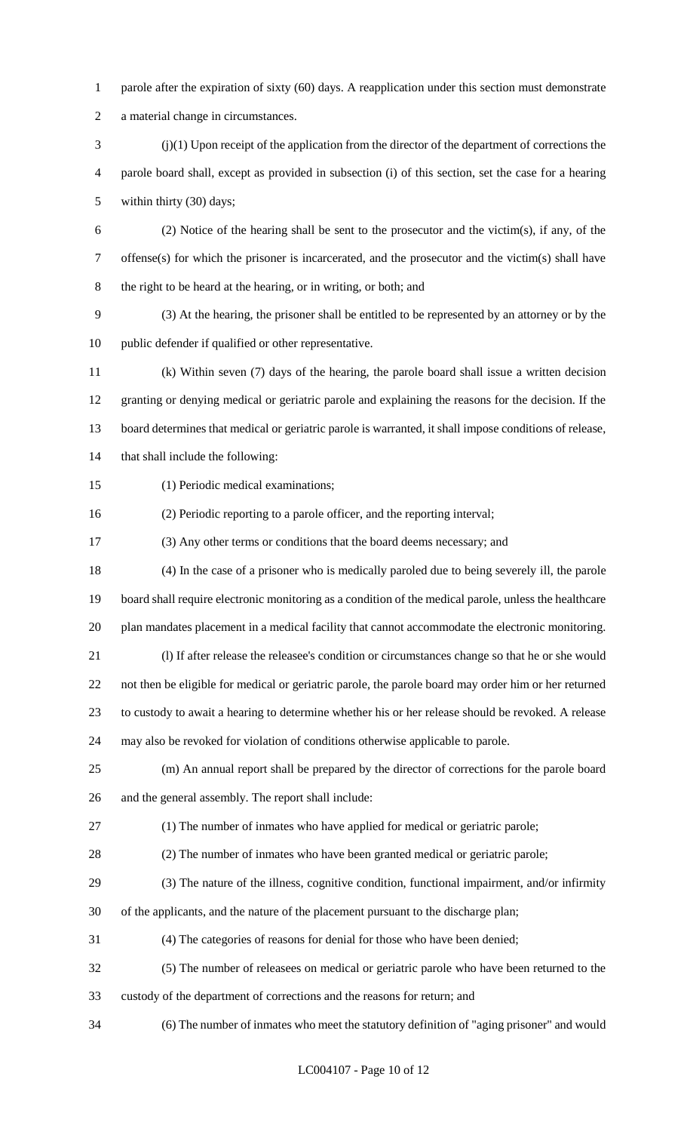- 1 parole after the expiration of sixty (60) days. A reapplication under this section must demonstrate
- a material change in circumstances.
- (j)(1) Upon receipt of the application from the director of the department of corrections the parole board shall, except as provided in subsection (i) of this section, set the case for a hearing within thirty (30) days;
- (2) Notice of the hearing shall be sent to the prosecutor and the victim(s), if any, of the offense(s) for which the prisoner is incarcerated, and the prosecutor and the victim(s) shall have the right to be heard at the hearing, or in writing, or both; and
- (3) At the hearing, the prisoner shall be entitled to be represented by an attorney or by the public defender if qualified or other representative.
- (k) Within seven (7) days of the hearing, the parole board shall issue a written decision granting or denying medical or geriatric parole and explaining the reasons for the decision. If the board determines that medical or geriatric parole is warranted, it shall impose conditions of release, that shall include the following:
- (1) Periodic medical examinations;
- (2) Periodic reporting to a parole officer, and the reporting interval;
- (3) Any other terms or conditions that the board deems necessary; and
- (4) In the case of a prisoner who is medically paroled due to being severely ill, the parole board shall require electronic monitoring as a condition of the medical parole, unless the healthcare plan mandates placement in a medical facility that cannot accommodate the electronic monitoring.
- (l) If after release the releasee's condition or circumstances change so that he or she would
- not then be eligible for medical or geriatric parole, the parole board may order him or her returned
- to custody to await a hearing to determine whether his or her release should be revoked. A release
- may also be revoked for violation of conditions otherwise applicable to parole.
- (m) An annual report shall be prepared by the director of corrections for the parole board and the general assembly. The report shall include:
- (1) The number of inmates who have applied for medical or geriatric parole;
- (2) The number of inmates who have been granted medical or geriatric parole;
- (3) The nature of the illness, cognitive condition, functional impairment, and/or infirmity
- of the applicants, and the nature of the placement pursuant to the discharge plan;
- (4) The categories of reasons for denial for those who have been denied;
- (5) The number of releasees on medical or geriatric parole who have been returned to the
- custody of the department of corrections and the reasons for return; and
- (6) The number of inmates who meet the statutory definition of "aging prisoner" and would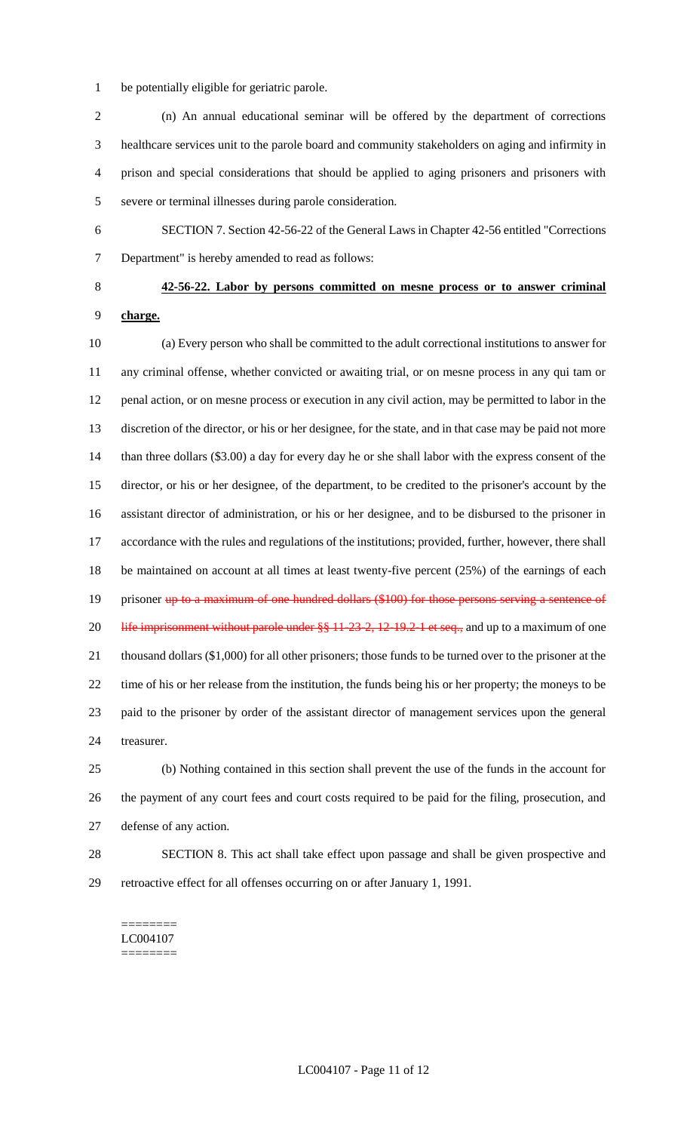- be potentially eligible for geriatric parole.
- (n) An annual educational seminar will be offered by the department of corrections healthcare services unit to the parole board and community stakeholders on aging and infirmity in prison and special considerations that should be applied to aging prisoners and prisoners with severe or terminal illnesses during parole consideration.
- SECTION 7. Section 42-56-22 of the General Laws in Chapter 42-56 entitled "Corrections

Department" is hereby amended to read as follows:

# **42-56-22. Labor by persons committed on mesne process or to answer criminal charge.**

 (a) Every person who shall be committed to the adult correctional institutions to answer for any criminal offense, whether convicted or awaiting trial, or on mesne process in any qui tam or penal action, or on mesne process or execution in any civil action, may be permitted to labor in the discretion of the director, or his or her designee, for the state, and in that case may be paid not more than three dollars (\$3.00) a day for every day he or she shall labor with the express consent of the director, or his or her designee, of the department, to be credited to the prisoner's account by the assistant director of administration, or his or her designee, and to be disbursed to the prisoner in accordance with the rules and regulations of the institutions; provided, further, however, there shall be maintained on account at all times at least twenty-five percent (25%) of the earnings of each 19 prisoner up to a maximum of one hundred dollars (\$100) for those persons serving a sentence of 20 life imprisonment without parole under §§ 11-23-2, 12-19.2-1 et seq., and up to a maximum of one thousand dollars (\$1,000) for all other prisoners; those funds to be turned over to the prisoner at the time of his or her release from the institution, the funds being his or her property; the moneys to be paid to the prisoner by order of the assistant director of management services upon the general treasurer. (b) Nothing contained in this section shall prevent the use of the funds in the account for

 the payment of any court fees and court costs required to be paid for the filing, prosecution, and defense of any action.

 SECTION 8. This act shall take effect upon passage and shall be given prospective and retroactive effect for all offenses occurring on or after January 1, 1991.

======== LC004107 ========